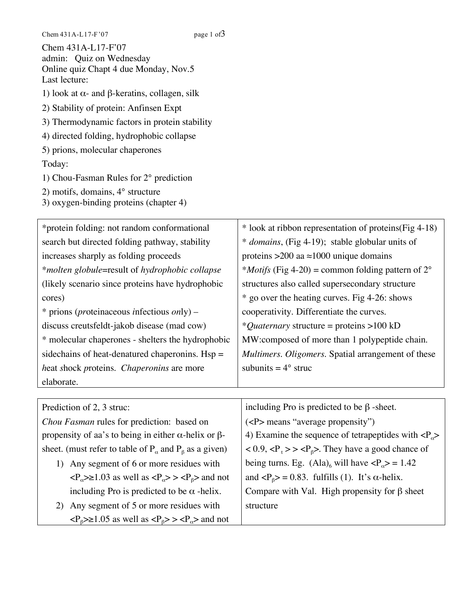| Chem 431A-L17-F'07<br>admin: Quiz on Wednesday<br>Online quiz Chapt 4 due Monday, Nov.5 |
|-----------------------------------------------------------------------------------------|
| Last lecture:                                                                           |
| 1) look at $\alpha$ - and β-keratins, collagen, silk                                    |
| 2) Stability of protein: Anfinsen Expt                                                  |
| 3) Thermodynamic factors in protein stability                                           |
| 4) directed folding, hydrophobic collapse                                               |
| 5) prions, molecular chaperones                                                         |
| Today:                                                                                  |
| 1) Chou-Fasman Rules for 2° prediction                                                  |
| 2) motifs, domains, $4^{\circ}$ structure<br>3) oxygen-binding proteins (chapter 4)     |

| *protein folding: not random conformational           | * look at ribbon representation of proteins (Fig 4-18)             |
|-------------------------------------------------------|--------------------------------------------------------------------|
| search but directed folding pathway, stability        | * domains, (Fig 4-19); stable globular units of                    |
| increases sharply as folding proceeds                 | proteins > 200 aa $\approx$ 1000 unique domains                    |
| *molten globule=result of hydrophobic collapse        | * <i>Motifs</i> (Fig 4-20) = common folding pattern of $2^{\circ}$ |
| (likely scenario since proteins have hydrophobic)     | structures also called supersecondary structure                    |
| cores)                                                | * go over the heating curves. Fig 4-26: shows                      |
| $*$ prions ( <i>proteinaceous infectious only</i> ) – | cooperativity. Differentiate the curves.                           |
| discuss creutsfeldt-jakob disease (mad cow)           | * <i>Quaternary</i> structure = proteins >100 kD                   |
| * molecular chaperones - shelters the hydrophobic     | MW:composed of more than 1 polypeptide chain.                      |
| side chains of heat-denatured chaperonins. $Hsp =$    | Multimers. Oligomers. Spatial arrangement of these                 |
| heat shock proteins. Chaperonins are more             | subunits = $4^{\circ}$ struc                                       |
| elaborate.                                            |                                                                    |
|                                                       |                                                                    |
| Prediction of 2, 3 struc:                             | including Pro is predicted to be $\beta$ -sheet.                   |
| $CI$ $P$ $1$ $C$ $1'$ $1'$ $1$ $1$                    | $\sqrt{D}$ (6 $\sqrt{D}$ ), $\sqrt{D}$                             |

*Chou Fasman* rules for prediction: based on propensity of aa's to being in either α-helix or βsheet. (must refer to table of  $P_\alpha$  and  $P_\beta$  as a given)

- 1) Any segment of 6 or more residues with  $\langle P_{\alpha} \rangle \ge 1.03$  as well as  $\langle P_{\alpha} \rangle \rangle \langle P_{\beta} \rangle$  and not including Pro is predicted to be  $\alpha$  -helix.
- 2) Any segment of 5 or more residues with  $\langle P_{\beta} \rangle \ge 1.05$  as well as  $\langle P_{\beta} \rangle > \langle P_{\alpha} \rangle$  and not

(<P> means "average propensity") 4) Examine the sequence of tetrapeptides with  $\langle P_{\alpha} \rangle$  $< 0.9, t>> β>.$  They have a good chance of being turns. Eg.  $(Ala)_6$  will have  $\langle P_\alpha \rangle = 1.42$ and  $\langle P_\beta \rangle = 0.83$ . fulfills (1). It's  $\alpha$ -helix. Compare with Val. High propensity for β sheet structure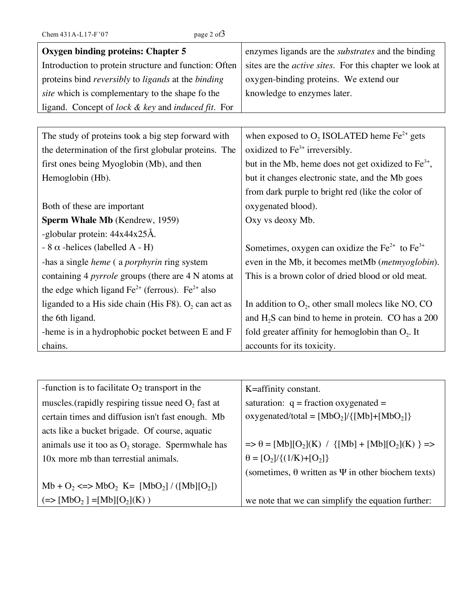| Chem 431A-L17-F'07 |  |  |  |
|--------------------|--|--|--|
|                    |  |  |  |

| <b>Oxygen binding proteins: Chapter 5</b>                  | enzymes ligands are the <i>substrates</i> and the binding       |
|------------------------------------------------------------|-----------------------------------------------------------------|
| Introduction to protein structure and function: Often      | sites are the <i>active sites</i> . For this chapter we look at |
| proteins bind reversibly to ligands at the binding         | oxygen-binding proteins. We extend our                          |
| site which is complementary to the shape fo the            | knowledge to enzymes later.                                     |
| ligand. Concept of lock & key and induced fit. For         |                                                                 |
|                                                            |                                                                 |
| The study of proteins took a big step forward with         | when exposed to $O_2$ ISOLATED heme Fe <sup>2+</sup> gets       |
| the determination of the first globular proteins. The      | oxidized to $Fe3+$ irreversibly.                                |
| first ones being Myoglobin (Mb), and then                  | but in the Mb, heme does not get oxidized to $Fe3+$ ,           |
| Hemoglobin (Hb).                                           | but it changes electronic state, and the Mb goes                |
|                                                            | from dark purple to bright red (like the color of               |
| Both of these are important                                | oxygenated blood).                                              |
| Sperm Whale Mb (Kendrew, 1959)                             | Oxy vs deoxy Mb.                                                |
| -globular protein: 44x44x25Å.                              |                                                                 |
| - 8 $\alpha$ -helices (labelled A - H)                     | Sometimes, oxygen can oxidize the $Fe^{2+}$ to $Fe^{3+}$        |
| -has a single <i>heme</i> (a <i>porphyrin</i> ring system  | even in the Mb, it becomes metMb (metmyoglobin).                |
| containing 4 <i>pyrrole</i> groups (there are 4 N atoms at | This is a brown color of dried blood or old meat.               |
| the edge which ligand $Fe^{2+}$ (ferrous). $Fe^{2+}$ also  |                                                                 |
| liganded to a His side chain (His F8). $O_2$ can act as    | In addition to $O_2$ , other small molecs like NO, CO           |
| the 6th ligand.                                            | and $H_2S$ can bind to heme in protein. CO has a 200            |
| -heme is in a hydrophobic pocket between E and F           | fold greater affinity for hemoglobin than $O_2$ . It            |
| chains.                                                    | accounts for its toxicity.                                      |

| -function is to facilitate $O_2$ transport in the     | K=affinity constant.                                                   |
|-------------------------------------------------------|------------------------------------------------------------------------|
| muscles. (rapidly respiring tissue need $O_2$ fast at | saturation: $q = fraction$ oxygenated =                                |
| certain times and diffusion isn't fast enough. Mb     | oxygenated/total = $[MbO_2]/\{[Mb]+[MbO_2]\}$                          |
| acts like a bucket brigade. Of course, aquatic        |                                                                        |
| animals use it too as $O_2$ , storage. Spermwhale has | $\Rightarrow \theta = [Mb][O_2](K) / {[(Mb]+[Mb][O_2](K)} \Rightarrow$ |
| 10x more mb than terrestial animals.                  | $\theta = [O_2]/\{(1/K)+(O_2]\}$                                       |
|                                                       | (sometimes, $\theta$ written as $\Psi$ in other biochem texts)         |
| $Mb + O_2 \leq > MbO_2$ K= $[MbO_2]/([Mb][O_2])$      |                                                                        |
| $(=> [MbO2] = [Mb][O2](K))$                           | we note that we can simplify the equation further:                     |